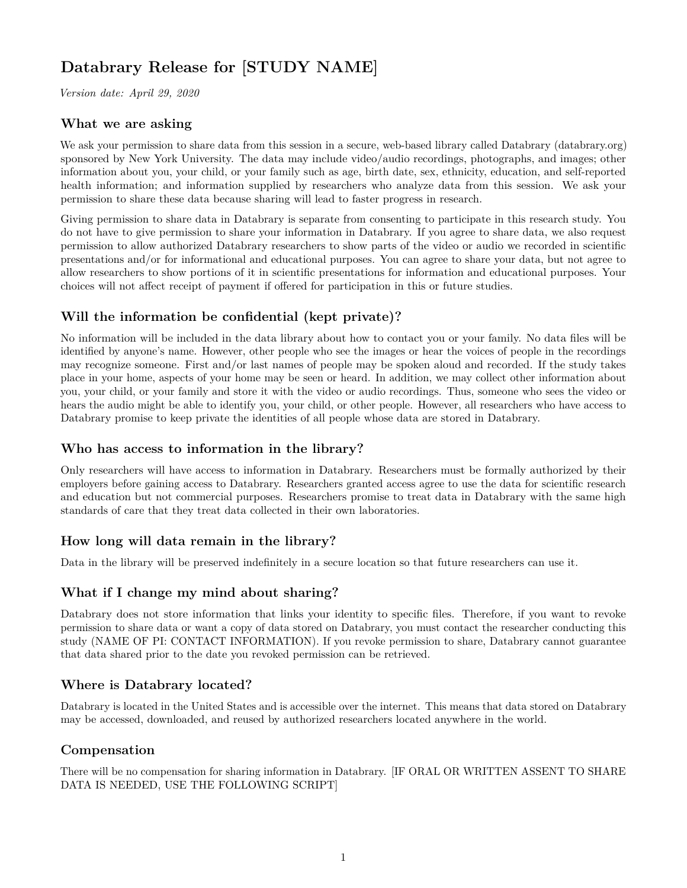# **Databrary Release for [STUDY NAME]**

*Version date: April 29, 2020*

## **What we are asking**

We ask your permission to share data from this session in a secure, web-based library called Databrary (databrary.org) sponsored by New York University. The data may include video/audio recordings, photographs, and images; other information about you, your child, or your family such as age, birth date, sex, ethnicity, education, and self-reported health information; and information supplied by researchers who analyze data from this session. We ask your permission to share these data because sharing will lead to faster progress in research.

Giving permission to share data in Databrary is separate from consenting to participate in this research study. You do not have to give permission to share your information in Databrary. If you agree to share data, we also request permission to allow authorized Databrary researchers to show parts of the video or audio we recorded in scientific presentations and/or for informational and educational purposes. You can agree to share your data, but not agree to allow researchers to show portions of it in scientific presentations for information and educational purposes. Your choices will not affect receipt of payment if offered for participation in this or future studies.

# **Will the information be confidential (kept private)?**

No information will be included in the data library about how to contact you or your family. No data files will be identified by anyone's name. However, other people who see the images or hear the voices of people in the recordings may recognize someone. First and/or last names of people may be spoken aloud and recorded. If the study takes place in your home, aspects of your home may be seen or heard. In addition, we may collect other information about you, your child, or your family and store it with the video or audio recordings. Thus, someone who sees the video or hears the audio might be able to identify you, your child, or other people. However, all researchers who have access to Databrary promise to keep private the identities of all people whose data are stored in Databrary.

## **Who has access to information in the library?**

Only researchers will have access to information in Databrary. Researchers must be formally authorized by their employers before gaining access to Databrary. Researchers granted access agree to use the data for scientific research and education but not commercial purposes. Researchers promise to treat data in Databrary with the same high standards of care that they treat data collected in their own laboratories.

# **How long will data remain in the library?**

Data in the library will be preserved indefinitely in a secure location so that future researchers can use it.

## **What if I change my mind about sharing?**

Databrary does not store information that links your identity to specific files. Therefore, if you want to revoke permission to share data or want a copy of data stored on Databrary, you must contact the researcher conducting this study (NAME OF PI: CONTACT INFORMATION). If you revoke permission to share, Databrary cannot guarantee that data shared prior to the date you revoked permission can be retrieved.

## **Where is Databrary located?**

Databrary is located in the United States and is accessible over the internet. This means that data stored on Databrary may be accessed, downloaded, and reused by authorized researchers located anywhere in the world.

## **Compensation**

There will be no compensation for sharing information in Databrary. [IF ORAL OR WRITTEN ASSENT TO SHARE DATA IS NEEDED, USE THE FOLLOWING SCRIPT]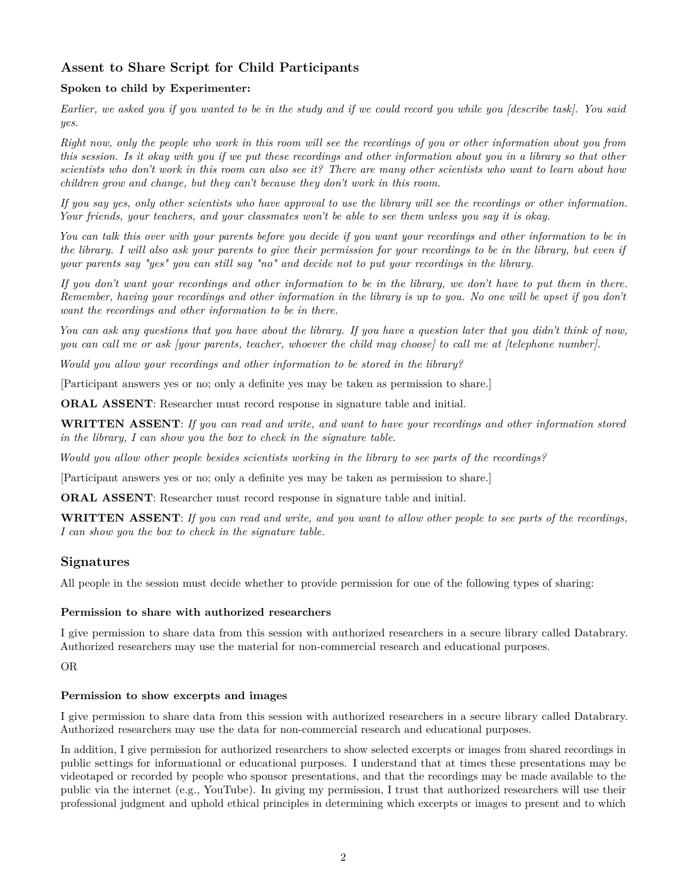# **Assent to Share Script for Child Participants**

### **Spoken to child by Experimenter:**

*Earlier, we asked you if you wanted to be in the study and if we could record you while you [describe task]. You said yes.*

*Right now, only the people who work in this room will see the recordings of you or other information about you from this session. Is it okay with you if we put these recordings and other information about you in a library so that other scientists who don't work in this room can also see it? There are many other scientists who want to learn about how children grow and change, but they can't because they don't work in this room.*

*If you say yes, only other scientists who have approval to use the library will see the recordings or other information. Your friends, your teachers, and your classmates won't be able to see them unless you say it is okay.*

*You can talk this over with your parents before you decide if you want your recordings and other information to be in the library. I will also ask your parents to give their permission for your recordings to be in the library, but even if your parents say "yes" you can still say "no" and decide not to put your recordings in the library.*

*If you don't want your recordings and other information to be in the library, we don't have to put them in there. Remember, having your recordings and other information in the library is up to you. No one will be upset if you don't want the recordings and other information to be in there.*

*You can ask any questions that you have about the library. If you have a question later that you didn't think of now, you can call me or ask [your parents, teacher, whoever the child may choose] to call me at [telephone number].*

*Would you allow your recordings and other information to be stored in the library?*

[Participant answers yes or no; only a definite yes may be taken as permission to share.]

**ORAL ASSENT**: Researcher must record response in signature table and initial.

**WRITTEN ASSENT**: *If you can read and write, and want to have your recordings and other information stored in the library, I can show you the box to check in the signature table.*

*Would you allow other people besides scientists working in the library to see parts of the recordings?*

[Participant answers yes or no; only a definite yes may be taken as permission to share.]

**ORAL ASSENT**: Researcher must record response in signature table and initial.

**WRITTEN ASSENT**: *If you can read and write, and you want to allow other people to see parts of the recordings, I can show you the box to check in the signature table.*

## **Signatures**

All people in the session must decide whether to provide permission for one of the following types of sharing:

#### **Permission to share with authorized researchers**

I give permission to share data from this session with authorized researchers in a secure library called Databrary. Authorized researchers may use the material for non-commercial research and educational purposes.

### OR

#### **Permission to show excerpts and images**

I give permission to share data from this session with authorized researchers in a secure library called Databrary. Authorized researchers may use the data for non-commercial research and educational purposes.

In addition, I give permission for authorized researchers to show selected excerpts or images from shared recordings in public settings for informational or educational purposes. I understand that at times these presentations may be videotaped or recorded by people who sponsor presentations, and that the recordings may be made available to the public via the internet (e.g., YouTube). In giving my permission, I trust that authorized researchers will use their professional judgment and uphold ethical principles in determining which excerpts or images to present and to which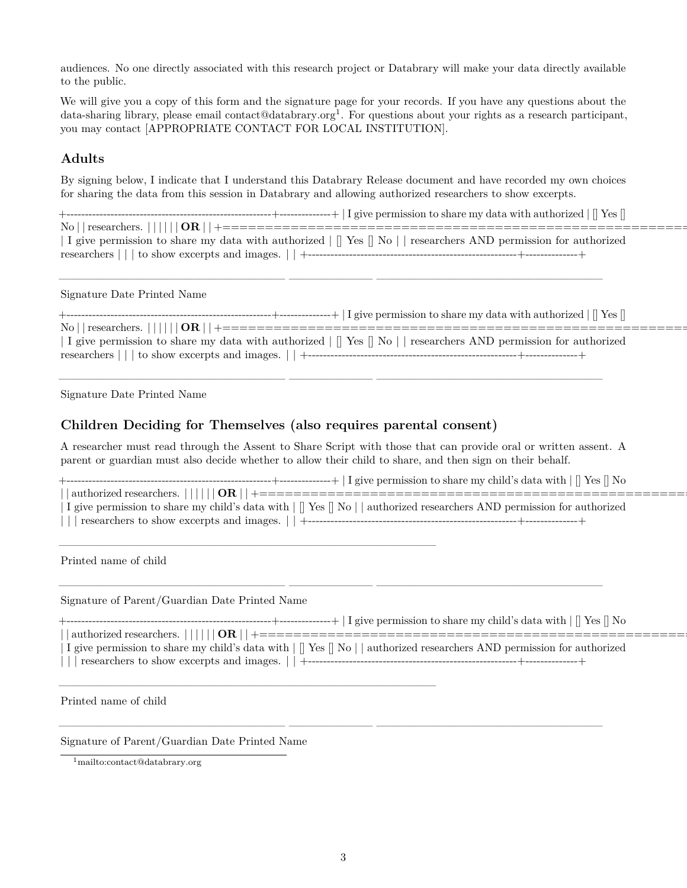audiences. No one directly associated with this research project or Databrary will make your data directly available to the public.

We will give you a copy of this form and the signature page for your records. If you have any questions about the data-sharing library, please email contact@databrary.org<sup>[1](#page-2-0)</sup>. For questions about your rights as a research participant, you may contact [APPROPRIATE CONTACT FOR LOCAL INSTITUTION].

## **Adults**

By signing below, I indicate that I understand this Databrary Release document and have recorded my own choices for sharing the data from this session in Databrary and allowing authorized researchers to show excerpts.

+--------------------------------------------------------+--------------+ | I give permission to share my data with authorized | [] Yes [] No | | researchers. | | | | | | **OR** | | +========================================================+============+ | I give permission to share my data with authorized | [] Yes [] No | | researchers AND permission for authorized researchers | | | to show excerpts and images. | | +--------------------------------------------------------+--------------+

\_\_\_\_\_\_\_\_\_\_\_\_\_\_\_\_\_\_\_\_\_\_\_\_\_\_\_ \_\_\_\_\_\_\_\_\_\_ \_\_\_\_\_\_\_\_\_\_\_\_\_\_\_\_\_\_\_\_\_\_\_\_\_\_\_

\_\_\_\_\_\_\_\_\_\_\_\_\_\_\_\_\_\_\_\_\_\_\_\_\_\_\_ \_\_\_\_\_\_\_\_\_\_ \_\_\_\_\_\_\_\_\_\_\_\_\_\_\_\_\_\_\_\_\_\_\_\_\_\_\_

#### Signature Date Printed Name

| give permission to share my data with authorized      Yes    Yes    Yes       Yes       Yes       Yes         |
|---------------------------------------------------------------------------------------------------------------|
|                                                                                                               |
|                                                                                                               |
| I give permission to share my data with authorized     Yes    No    researchers AND permission for authorized |
|                                                                                                               |
|                                                                                                               |

Signature Date Printed Name

## **Children Deciding for Themselves (also requires parental consent)**

\_\_\_\_\_\_\_\_\_\_\_\_\_\_\_\_\_\_\_\_\_\_\_\_\_\_\_\_\_\_\_\_\_\_\_\_\_\_\_\_\_\_\_\_\_

\_\_\_\_\_\_\_\_\_\_\_\_\_\_\_\_\_\_\_\_\_\_\_\_\_\_\_\_\_\_\_\_\_\_\_\_\_\_\_\_\_\_\_\_\_

A researcher must read through the Assent to Share Script with those that can provide oral or written assent. A parent or guardian must also decide whether to allow their child to share, and then sign on their behalf.

| ΙNΟ<br>with<br>Yes<br>child's<br>. to share mv<br>™s data<br>permission •<br>$\alpha$<br>--------------                                                                              |
|--------------------------------------------------------------------------------------------------------------------------------------------------------------------------------------|
|                                                                                                                                                                                      |
| OR<br>authorized<br>t researchers                                                                                                                                                    |
| $V_{\alpha}$<br>- IN 1<br>-authorized<br>N∩<br>' researchers .<br>authorized<br>with<br>D permission<br>nermission<br>, share<br>mv<br>child:<br>, data.<br>e 1 ve<br>$+ \sim$<br>Ť0 |

| I give permission to share my child's data with | [] Yes [] No | | authorized researchers AND permission for authorized | | | researchers to show excerpts and images. | | +--------------------------------------------------------+--------------+

\_\_\_\_\_\_\_\_\_\_\_\_\_\_\_\_\_\_\_\_\_\_\_\_\_\_\_ \_\_\_\_\_\_\_\_\_\_ \_\_\_\_\_\_\_\_\_\_\_\_\_\_\_\_\_\_\_\_\_\_\_\_\_\_\_

\_\_\_\_\_\_\_\_\_\_\_\_\_\_\_\_\_\_\_\_\_\_\_\_\_\_\_ \_\_\_\_\_\_\_\_\_\_ \_\_\_\_\_\_\_\_\_\_\_\_\_\_\_\_\_\_\_\_\_\_\_\_\_\_\_

Printed name of child

Signature of Parent/Guardian Date Printed Name

| $\Box$ I give permission to share my child's data with $\Box$ Yes $\Box$<br>$\mathbb{I}$ No                            |
|------------------------------------------------------------------------------------------------------------------------|
| $^{\circ}$ OR<br>authorized researchers.                                                                               |
| I give permission to share my child's data with      Yes    No    authorized researchers AND permission for authorized |
| esearchers to show excerpts and images.                                                                                |
|                                                                                                                        |

Printed name of child

#### Signature of Parent/Guardian Date Printed Name

<span id="page-2-0"></span><sup>1</sup><mailto:contact@databrary.org>